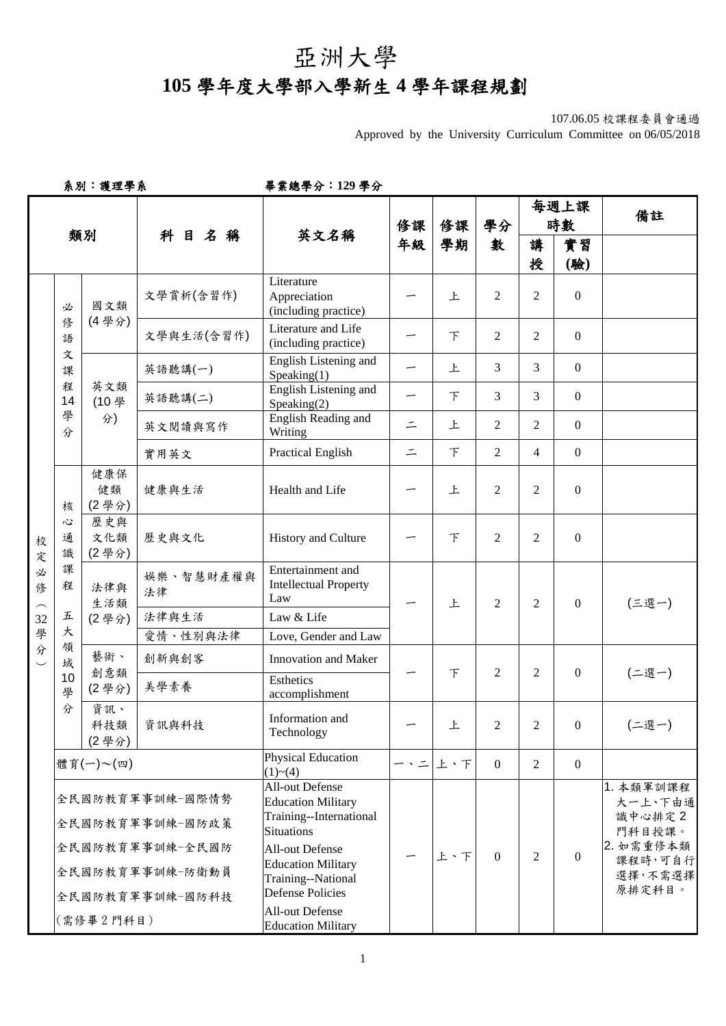## 亞洲大學

## **105** 學年度大學部入學新生 **4** 學年課程規劃

107.06.05 校課程委員會通過

Approved by the University Curriculum Committee on 06/05/2018

系別:護理學系畢業總學分:**129** 學分

|                  |                       |                     |                                                       |                                                                                                     |          |                |                |                | 每週上課             | 備註                                        |
|------------------|-----------------------|---------------------|-------------------------------------------------------|-----------------------------------------------------------------------------------------------------|----------|----------------|----------------|----------------|------------------|-------------------------------------------|
|                  |                       | 類別                  | 科目名稱                                                  | 英文名稱                                                                                                | 修課<br>年級 | 修課<br>學期       | 學分<br>數        |                | 時數               |                                           |
|                  |                       |                     |                                                       |                                                                                                     |          |                |                | 講              | 實習               |                                           |
|                  |                       |                     |                                                       |                                                                                                     |          |                |                | 授              | (驗)              |                                           |
|                  | 必                     | 國文類                 | 文學賞析(含習作)                                             | Literature<br>Appreciation<br>(including practice)                                                  |          | 上              | 2              | 2              | $\boldsymbol{0}$ |                                           |
|                  | 修<br>語                | (4學分)               | 文學與生活(含習作)                                            | Literature and Life<br>(including practice)                                                         |          | F              | 2              | $\overline{2}$ | $\boldsymbol{0}$ |                                           |
|                  | 文<br>課                |                     | 英語聽講(一)                                               | English Listening and<br>Speaking(1)                                                                |          | 上              | 3              | 3              | $\overline{0}$   |                                           |
|                  | 程<br>14               | 英文類<br>(10學         | 英語聽講(二)                                               | English Listening and<br>Speaking(2)                                                                |          | $\top$         | 3              | 3              | $\boldsymbol{0}$ |                                           |
|                  | 學<br>分                | 分)                  | 英文閱讀與寫作                                               | English Reading and<br>Writing                                                                      | $\equiv$ | 上              | 2              | $\overline{2}$ | $\overline{0}$   |                                           |
|                  |                       |                     | 實用英文                                                  | <b>Practical English</b>                                                                            | $\equiv$ | $\top$         | $\overline{2}$ | 4              | $\overline{0}$   |                                           |
| 校<br>定<br>必<br>修 | 核                     | 健康保<br>健類<br>(2學分)  | 健康與生活                                                 | Health and Life                                                                                     |          | 上              | 2              | $\overline{2}$ | $\boldsymbol{0}$ |                                           |
|                  | Ľ<br>通<br>識<br>課<br>程 | 歷史與<br>文化類<br>(2學分) | 歷史與文化                                                 | History and Culture                                                                                 |          | F              | 2              | 2              | $\boldsymbol{0}$ |                                           |
|                  |                       | 法律與<br>生活類          | 娱樂、智慧財產權與<br>法律                                       | Entertainment and<br><b>Intellectual Property</b><br>Law                                            |          | 上              | $\overline{2}$ | 2              | $\mathbf{0}$     | (三選一)                                     |
| 32               | 五                     | (2學分)               | 法律與生活                                                 | Law & Life                                                                                          |          |                |                |                |                  |                                           |
| 學<br>分           | 大<br>領                |                     | 愛情、性別與法律                                              | Love, Gender and Law                                                                                |          |                |                |                |                  |                                           |
|                  | 域                     | 藝術、                 | 創新與創客                                                 | <b>Innovation and Maker</b>                                                                         |          |                |                | $\overline{c}$ | $\overline{0}$   | (二選一)                                     |
|                  | 10<br>學               | 創意類<br>(2學分)        | 美學素養                                                  | Esthetics<br>accomplishment                                                                         |          | $\overline{F}$ | $\overline{2}$ |                |                  |                                           |
|                  | 分                     | 資訊、<br>科技類<br>(2學分) | 資訊與科技                                                 | Information and<br>Technology                                                                       |          | 上              | 2              | $\overline{2}$ | $\mathbf{0}$     | (二選一)                                     |
|                  |                       | 體育(一)~(四)           |                                                       | <b>Physical Education</b><br>(1)~(4)                                                                |          | 一、二上、下         | $\theta$       | 2              | $\overline{0}$   |                                           |
|                  |                       |                     | 全民國防教育軍事訓練-國際情勢<br>全民國防教育軍事訓練-國防政策                    | <b>All-out Defense</b><br><b>Education Military</b><br>Training--International<br><b>Situations</b> |          |                |                | $\mathfrak{D}$ |                  | 1. 本類軍訓課程<br>大一上、下由通<br>識中心排定2<br>門科目授課。  |
|                  |                       |                     | 全民國防教育軍事訓練-全民國防<br>全民國防教育軍事訓練-防衛動員<br>全民國防教育軍事訓練-國防科技 | All-out Defense<br><b>Education Military</b><br>Training--National<br><b>Defense Policies</b>       |          | 上、下            | $\Omega$       |                | $\theta$         | 2. 如需重修本類<br>課程時,可自行<br>選擇,不需選擇<br>原排定科目。 |
|                  |                       | (需修畢2門科目)           |                                                       | <b>All-out Defense</b><br><b>Education Military</b>                                                 |          |                |                |                |                  |                                           |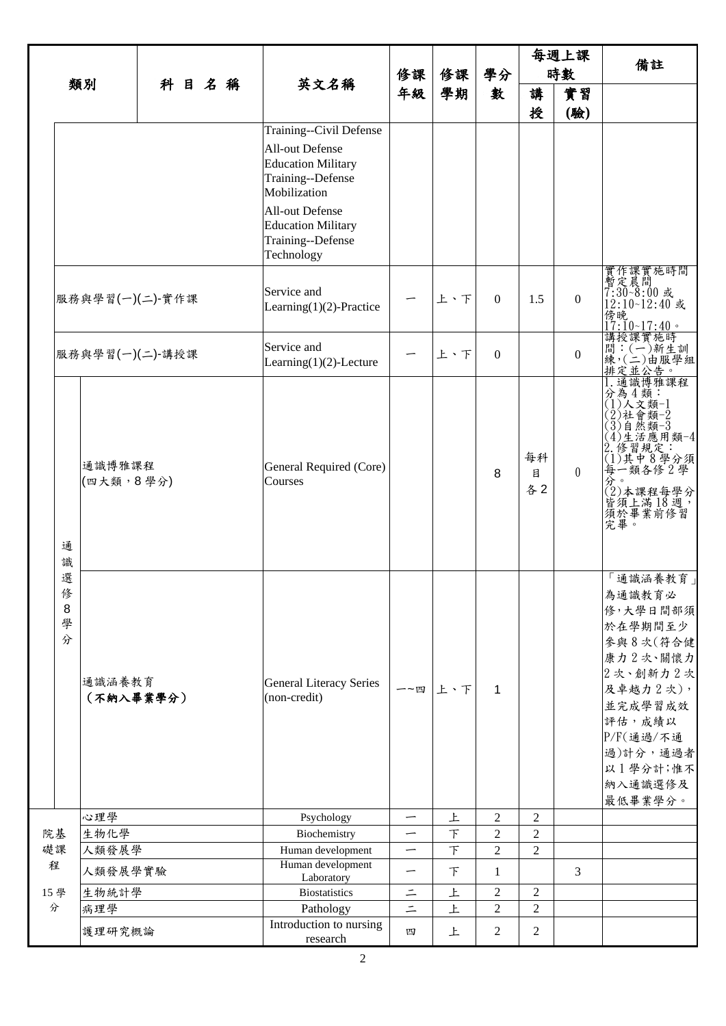| 類別   |                       |                     |      |  |      |                                                                                                                                                                                                                                                      |                          |                          |                | 每週上課           |                  |                                                                                                                                                                           |
|------|-----------------------|---------------------|------|--|------|------------------------------------------------------------------------------------------------------------------------------------------------------------------------------------------------------------------------------------------------------|--------------------------|--------------------------|----------------|----------------|------------------|---------------------------------------------------------------------------------------------------------------------------------------------------------------------------|
|      |                       |                     | 科目名稱 |  | 修課   | 修課                                                                                                                                                                                                                                                   | 學分                       | 時數                       |                | 備註             |                  |                                                                                                                                                                           |
|      |                       |                     |      |  | 英文名稱 | 年級                                                                                                                                                                                                                                                   | 學期                       | 數                        | 講              | 實習             |                  |                                                                                                                                                                           |
|      |                       |                     |      |  |      |                                                                                                                                                                                                                                                      |                          |                          |                | 授              | (驗)              |                                                                                                                                                                           |
|      |                       | 服務與學習(一)(二)-實作課     |      |  |      | Training--Civil Defense<br><b>All-out Defense</b><br><b>Education Military</b><br>Training--Defense<br>Mobilization<br>All-out Defense<br><b>Education Military</b><br>Training--Defense<br>Technology<br>Service and<br>Learning $(1)(2)$ -Practice |                          | 上、下                      | $\Omega$       | 1.5            | $\boldsymbol{0}$ | 實作課實施時間<br>暫定晨間<br>7:30~8:00 或<br>12:10~12:40 或                                                                                                                           |
|      |                       |                     |      |  |      |                                                                                                                                                                                                                                                      |                          |                          |                |                |                  | .<br>傍晚<br>17:10~ <u>17:40。</u>                                                                                                                                           |
|      |                       | 服務與學習(一)(二)-講授課     |      |  |      | Service and<br>Learning $(1)(2)$ -Lecture                                                                                                                                                                                                            |                          | 上、下                      | $\Omega$       |                | $\theta$         | 講問練   インストランド   『新聞』   インストランド   『新聞』   インストランド   『新聞』   『新生訓』   『新生訓』   『新生訓』   『『新生訓』   『『『『『『『『                                                                        |
|      | 通<br>識                | 通識博雅課程<br>(四大類,8學分) |      |  |      | General Required (Core)<br>Courses                                                                                                                                                                                                                   |                          |                          | 8              | 每科<br>目<br>各2  | $\theta$         | 通識博雅課程<br>分為4類:<br>(1)人文類-1<br>>2)社會類−2<br>(3)自然類−3<br>(4)生活應用:類−4<br>(4)生活應用:類−4<br>2. 修習規定:<br>(1)其中8學分須<br>每一類各修2學<br>分<br>32)本課程每學分<br>(2)有上滿18週,<br>須於畢業前修習          |
|      | 選<br>俢<br>8<br>學<br>分 | 通識涵養教育<br>(不納入畢業學分) |      |  |      | <b>General Literacy Series</b><br>(non-credit)                                                                                                                                                                                                       |                          | 一~四 上、下                  | $\mathbf{1}$   |                |                  | 「通識涵養教育<br>為通識教育必<br>修,大學日間部須<br>於在學期間至少<br>參與8次(符合健<br>康力2次、關懷力<br>2次、創新力2次<br>及卓越力2次),<br>並完成學習成效<br>評估, 成績以<br>P/F(通過/不通<br>過)計分,通過者<br>以1學分計;惟不<br>納入通識選修及<br>最低畢業學分。 |
|      |                       | 心理學                 |      |  |      | Psychology                                                                                                                                                                                                                                           | $\overline{\phantom{0}}$ | 上                        | $\overline{2}$ | $\overline{2}$ |                  |                                                                                                                                                                           |
| 院基   |                       | 生物化學                |      |  |      | Biochemistry                                                                                                                                                                                                                                         |                          | $\overline{\mathcal{T}}$ | $\overline{2}$ | $\overline{c}$ |                  |                                                                                                                                                                           |
| 礎課   |                       | 人類發展學               |      |  |      | Human development                                                                                                                                                                                                                                    | —                        | $\top$                   | $\overline{2}$ | $\overline{2}$ |                  |                                                                                                                                                                           |
| 程    |                       | 人類發展學實驗             |      |  |      | Human development<br>Laboratory                                                                                                                                                                                                                      | —                        | F                        | 1              |                | 3                |                                                                                                                                                                           |
| 15 學 |                       | 生物統計學               |      |  |      | <b>Biostatistics</b>                                                                                                                                                                                                                                 | $\equiv$                 | 上                        | $\overline{2}$ | $\overline{2}$ |                  |                                                                                                                                                                           |
| 分    |                       | 病理學                 |      |  |      | Pathology                                                                                                                                                                                                                                            | $=$                      | 上                        | $\overline{2}$ | $\overline{2}$ |                  |                                                                                                                                                                           |
|      |                       | 護理研究概論              |      |  |      | Introduction to nursing<br>research                                                                                                                                                                                                                  | 四                        | 上                        | $\overline{2}$ | 2              |                  |                                                                                                                                                                           |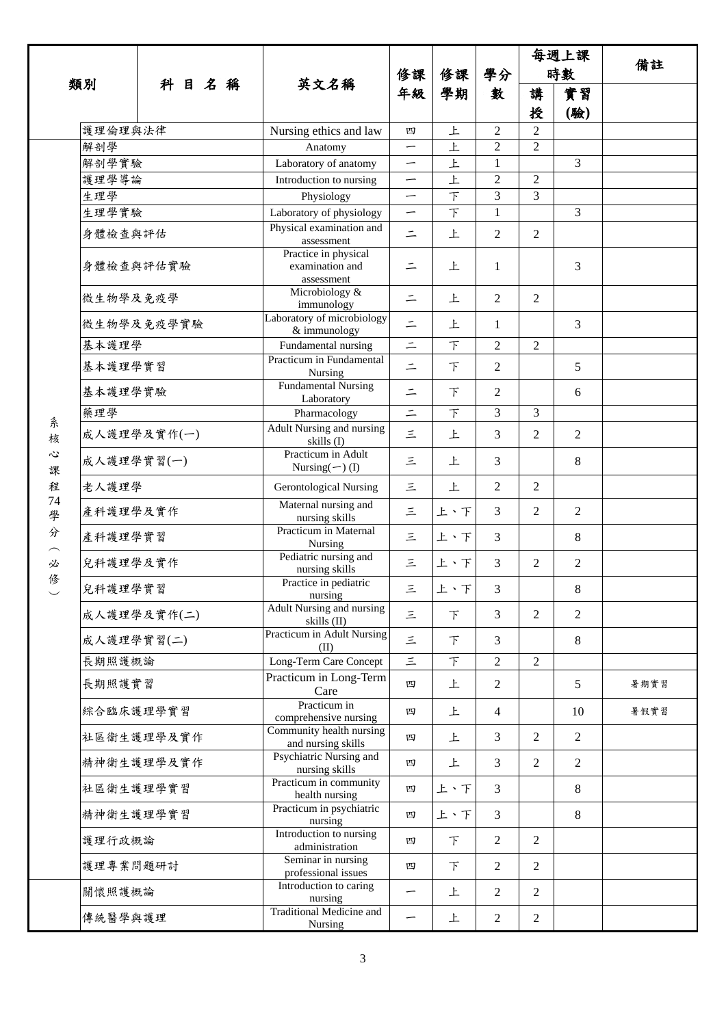|                      |                |             | 英文名稱                                                          | 修課<br>年級                                             | 修課<br>學期            | 學分<br>數                        |                | 每週上課           | 備註   |
|----------------------|----------------|-------------|---------------------------------------------------------------|------------------------------------------------------|---------------------|--------------------------------|----------------|----------------|------|
|                      | 類別             | 科目名稱        |                                                               |                                                      |                     |                                | 時數             |                |      |
|                      |                |             |                                                               |                                                      |                     |                                | 講              | 實習             |      |
|                      |                |             |                                                               |                                                      |                     |                                | 授              | (驗)            |      |
|                      | 護理倫理與法律        |             | Nursing ethics and law                                        | 四                                                    | 上                   | $\overline{2}$                 | $\overline{2}$ |                |      |
|                      | 解剖學            |             | Anatomy                                                       | —                                                    | 上                   | $\overline{2}$                 | $\overline{2}$ |                |      |
|                      | 解剖學實驗<br>護理學導論 |             | Laboratory of anatomy                                         | —                                                    | 上                   | $\mathbf{1}$<br>$\overline{2}$ | $\overline{2}$ | 3              |      |
|                      | 生理學            |             | Introduction to nursing<br>Physiology                         | $\overline{\phantom{0}}$<br>$\overline{\phantom{m}}$ | 上<br>$\overline{F}$ | 3                              | 3              |                |      |
|                      | 生理學實驗          |             | Laboratory of physiology                                      | $\overline{\phantom{0}}$                             | $\overline{F}$      | $\mathbf{1}$                   |                | $\overline{3}$ |      |
|                      | 身體檢查與評估        |             | Physical examination and                                      | $\equiv$                                             | 上                   | 2                              | $\overline{2}$ |                |      |
|                      |                |             | assessment<br>Practice in physical                            |                                                      |                     |                                |                |                |      |
|                      | 身體檢查與評估實驗      |             | examination and<br>assessment                                 | 二                                                    | 上                   | 1                              |                | 3              |      |
|                      | 微生物學及免疫學       |             | Microbiology &<br>immunology                                  | $\equiv$                                             | 上                   | $\overline{2}$                 | $\overline{2}$ |                |      |
|                      |                | 微生物學及免疫學實驗  | Laboratory of microbiology<br>& immunology                    | $\equiv$                                             | 上                   | 1                              |                | 3              |      |
|                      | 基本護理學          |             | Fundamental nursing<br>Practicum in Fundamental               | $\vert \cdot \vert$                                  | $\top$              | $\overline{2}$                 | $\overline{2}$ |                |      |
|                      | 基本護理學實習        |             | Nursing                                                       | $\equiv$                                             | F                   | $\overline{2}$                 |                | 5              |      |
|                      | 基本護理學實驗        |             | <b>Fundamental Nursing</b><br>Laboratory                      | $\equiv$                                             | 下                   | 2                              |                | 6              |      |
| 糸                    | 藥理學            |             | Pharmacology                                                  | $=$                                                  | $\top$              | 3                              | 3              |                |      |
| 核                    |                | 成人護理學及實作(一) | Adult Nursing and nursing<br>skills (I)<br>Practicum in Adult | $\equiv$                                             | 上                   | 3                              | 2              | $\overline{2}$ |      |
| $\ddot{\omega}$<br>課 | 成人護理學實習(一)     |             | Nursing $(\neg)$ (I)                                          | 三                                                    | 上                   | $\overline{3}$                 |                | 8              |      |
| 程                    | 老人護理學          |             | <b>Gerontological Nursing</b>                                 | 三                                                    | 上                   | $\overline{2}$                 | $\overline{c}$ |                |      |
| 74<br>學              | 產科護理學及實作       |             | Maternal nursing and<br>nursing skills                        | 三                                                    | 上、下                 | $\overline{3}$                 | $\overline{2}$ | $\overline{2}$ |      |
| 分                    | 產科護理學實習        |             | Practicum in Maternal<br>Nursing                              | 三                                                    | 上、下                 | $\overline{3}$                 |                | 8              |      |
| 必                    | 兒科護理學及實作       |             | Pediatric nursing and<br>nursing skills                       | 三                                                    | 上、下                 | $\overline{3}$                 | $\overline{2}$ | $\overline{2}$ |      |
| 修                    | 兒科護理學實習        |             | Practice in pediatric<br>nursing                              | $\leq$                                               | 上、下                 | 3                              |                | 8              |      |
|                      |                | 成人護理學及實作(二) | Adult Nursing and nursing<br>skills (II)                      | 三                                                    | 下                   | $\overline{3}$                 | $\overline{2}$ | $\overline{2}$ |      |
|                      | 成人護理學實習(二)     |             | Practicum in Adult Nursing<br>(II)                            | $\equiv$                                             | 下                   | 3                              |                | 8              |      |
|                      | 長期照護概論         |             | Long-Term Care Concept                                        | $\equiv$                                             | $\top$              | $\overline{2}$                 | $\overline{2}$ |                |      |
|                      | 長期照護實習         |             | Practicum in Long-Term<br>Care                                | 四                                                    | 上                   | 2                              |                | 5              | 暑期實習 |
|                      | 綜合臨床護理學實習      |             | Practicum in<br>comprehensive nursing                         | 四                                                    | 上                   | $\overline{4}$                 |                | 10             | 暑假實習 |
|                      |                | 社區衛生護理學及實作  | Community health nursing<br>and nursing skills                | 四                                                    | 上                   | 3                              | $\overline{2}$ | $\overline{2}$ |      |
|                      |                | 精神衛生護理學及實作  | Psychiatric Nursing and<br>nursing skills                     | 四                                                    | 上                   | $\overline{3}$                 | $\overline{2}$ | $\overline{2}$ |      |
|                      | 社區衛生護理學實習      |             | Practicum in community<br>health nursing                      | 四                                                    | 上、下                 | 3                              |                | 8              |      |
|                      | 精神衛生護理學實習      |             | Practicum in psychiatric<br>nursing                           | 四                                                    | 上、下                 | $\overline{3}$                 |                | 8              |      |
|                      | 護理行政概論         |             | Introduction to nursing<br>administration                     | 四                                                    | 下                   | $\overline{2}$                 | 2              |                |      |
|                      | 護理專業問題研討       |             | Seminar in nursing<br>professional issues                     | 四                                                    | F                   | $\overline{2}$                 | $\overline{2}$ |                |      |
|                      | 關懷照護概論         |             | Introduction to caring<br>nursing                             | —                                                    | 上                   | $\overline{2}$                 | $\overline{2}$ |                |      |
|                      | 傳統醫學與護理        |             | <b>Traditional Medicine and</b><br>Nursing                    | —                                                    | 上                   | $\overline{2}$                 | $\overline{c}$ |                |      |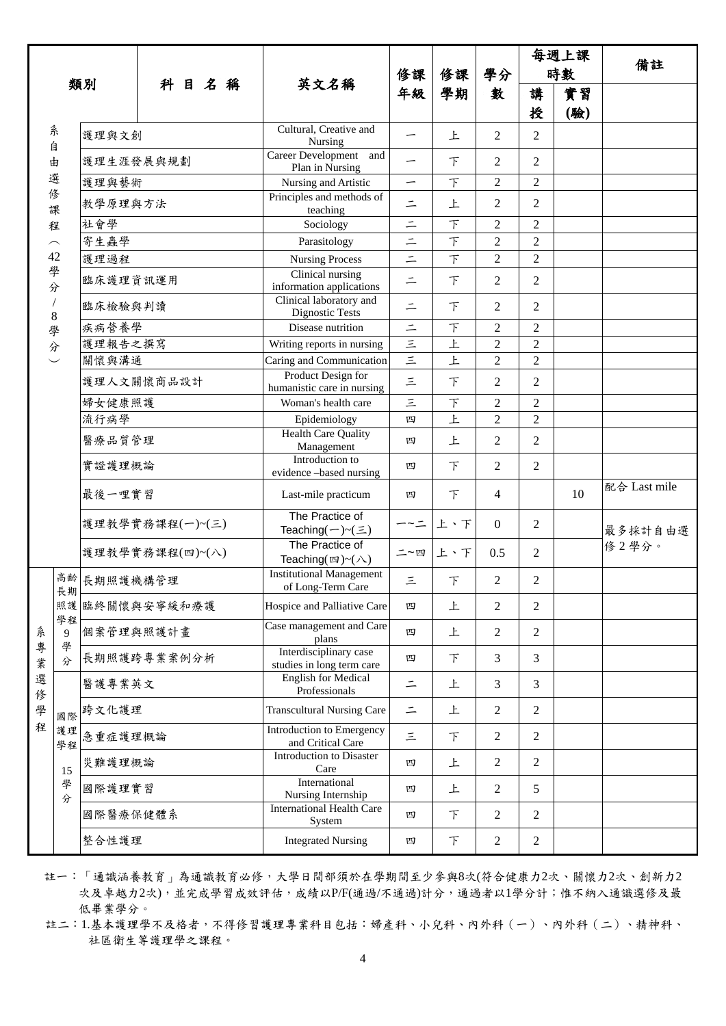|        |                         |                 |                 |  |    |                                                            |                      |        |                |                | 每週上課 |              |
|--------|-------------------------|-----------------|-----------------|--|----|------------------------------------------------------------|----------------------|--------|----------------|----------------|------|--------------|
|        |                         |                 | 科目名稱            |  | 修課 | 修課                                                         | 學分                   |        | 時數             | 備註             |      |              |
|        |                         | 類別              |                 |  |    | 英文名稱                                                       | 年級                   | 學期     | 數              | 講              | 實習   |              |
|        |                         |                 |                 |  |    |                                                            |                      |        |                | 授              | (驗)  |              |
|        | 糸                       | 護理與文創           |                 |  |    | Cultural, Creative and<br>Nursing                          | —                    | 上      | $\overline{2}$ | 2              |      |              |
| 自<br>由 |                         | 護理生涯發展與規劃       |                 |  |    | Career Development<br>and<br>Plan in Nursing               | -                    | F      | $\overline{2}$ | 2              |      |              |
|        | 選                       | 護理與藝術           |                 |  |    | Nursing and Artistic                                       | —                    | F      | $\overline{2}$ | $\overline{2}$ |      |              |
|        | 俢<br>課                  | 教學原理與方法         |                 |  |    | Principles and methods of<br>teaching                      | $\equiv$             | 上      | $\overline{2}$ | $\overline{2}$ |      |              |
|        | 程                       | 社會學             |                 |  |    | Sociology                                                  | $\equiv$             | $\top$ | 2              | $\overline{2}$ |      |              |
|        | $\widehat{\phantom{m}}$ | 寄生蟲學            |                 |  |    | Parasitology                                               | $\equiv$             | $\top$ | $\overline{2}$ | $\overline{2}$ |      |              |
|        | 42                      | 護理過程            |                 |  |    | <b>Nursing Process</b>                                     | $\equiv$             | $\top$ | 2              | $\overline{2}$ |      |              |
|        | 學<br>分                  | 臨床護理資訊運用        |                 |  |    | Clinical nursing<br>information applications               | $\equiv$             | 下      | 2              | 2              |      |              |
|        | $\,8\,$                 | 臨床檢驗與判讀         |                 |  |    | Clinical laboratory and<br>Dignostic Tests                 | $\equiv$             | 下      | $\overline{2}$ | $\overline{2}$ |      |              |
|        | 學                       | 疾病營養學           |                 |  |    | Disease nutrition                                          | $\equiv$             | 下      | $\overline{2}$ | $\overline{2}$ |      |              |
|        | 分                       | 護理報告之撰寫         |                 |  |    | Writing reports in nursing                                 | $\left  \mu \right $ | 上      | $\overline{2}$ | $\overline{2}$ |      |              |
|        |                         | 關懷與溝通           |                 |  |    | Caring and Communication                                   | $\equiv$             | 上      | $\overline{c}$ | $\overline{2}$ |      |              |
|        |                         | 護理人文關懷商品設計      |                 |  |    | Product Design for<br>humanistic care in nursing           | $\equiv$             | 下      | 2              | $\overline{2}$ |      |              |
|        |                         | 婦女健康照護          |                 |  |    | Woman's health care                                        | 三                    | $\top$ | $\overline{2}$ | $\overline{2}$ |      |              |
|        |                         | 流行病學            |                 |  |    | Epidemiology                                               | 四                    | 上      | $\overline{c}$ | $\overline{2}$ |      |              |
|        |                         | 醫療品質管理          |                 |  |    | <b>Health Care Quality</b><br>Management                   | 四                    | 上      | 2              | $\overline{2}$ |      |              |
|        |                         | 實證護理概論          |                 |  |    | Introduction to<br>evidence -based nursing                 | 四                    | $\top$ | $\overline{2}$ | $\overline{2}$ |      |              |
|        |                         | 最後一哩實習          |                 |  |    | Last-mile practicum                                        | 四                    | F      | 4              |                | 10   | 配合 Last mile |
|        |                         |                 | 護理教學實務課程(一)~(三) |  |    | The Practice of<br>Teaching $(-)$ ~ $(\equiv)$             | $-\sim$ $=$          | 上、下    | $\theta$       | 2              |      | 最多採計自由選      |
|        |                         | 護理教學實務課程(四)~(八) |                 |  |    | The Practice of<br>Teaching( $\mathfrak{w}$ )~( $\wedge$ ) | 二~四                  | 上下     | 0.5            | 2              |      | 修2學分。        |
|        | 長期                      | 高齡 長期照護機構管理     |                 |  |    | <b>Institutional Management</b><br>of Long-Term Care       | 三                    | F      | 2              | $\overline{c}$ |      |              |
|        | 學程                      | 照護臨終關懷與安寧緩和療護   |                 |  |    | Hospice and Palliative Care                                | 四                    | 上      | 2              | 2              |      |              |
| 糸      | 9<br>學                  | 個案管理與照護計畫       |                 |  |    | Case management and Care<br>plans                          | 四                    | 上      | 2              | $\overline{2}$ |      |              |
| 專<br>業 | 分                       | 長期照護跨專業案例分析     |                 |  |    | Interdisciplinary case<br>studies in long term care        | 四                    | F      | 3              | 3              |      |              |
| 選<br>俢 |                         | 醫護專業英文          |                 |  |    | <b>English for Medical</b><br>Professionals                | $\equiv$             | 上      | 3              | 3              |      |              |
| 學      | 國際                      | 跨文化護理           |                 |  |    | <b>Transcultural Nursing Care</b>                          | $\equiv$             | 上      | 2              | $\overline{2}$ |      |              |
| 程      | 護理<br>學程                | 急重症護理概論         |                 |  |    | <b>Introduction to Emergency</b><br>and Critical Care      | 三                    | $\top$ | 2              | $\overline{2}$ |      |              |
|        | 15                      | 災難護理概論          |                 |  |    | Introduction to Disaster<br>Care                           | 四                    | 上      | 2              | $\overline{2}$ |      |              |
|        | 學<br>分                  | 國際護理實習          |                 |  |    | International<br>Nursing Internship                        | 四                    | 上      | $\overline{2}$ | 5              |      |              |
|        |                         | 國際醫療保健體系        |                 |  |    | <b>International Health Care</b><br>System                 | 四                    | 下      | 2              | $\overline{2}$ |      |              |
|        |                         | 整合性護理           |                 |  |    | <b>Integrated Nursing</b>                                  | 四                    | 下      | $\overline{c}$ | $\overline{2}$ |      |              |

- 註一:「通識涵養教育」為通識教育必修,大學日間部須於在學期間至少參與8次(符合健康力2次、關懷力2次、創新力2 次及卓越力2次),並完成學習成效評估,成績以P/F(通過/不通過)計分,通過者以1學分計;惟不納入通識選修及最 低畢業學分。
- 註二:1.基本護理學不及格者,不得修習護理專業科目包括:婦產科、小兒科、內外科(一)、內外科(二)、精神科、 社區衛生等護理學之課程。